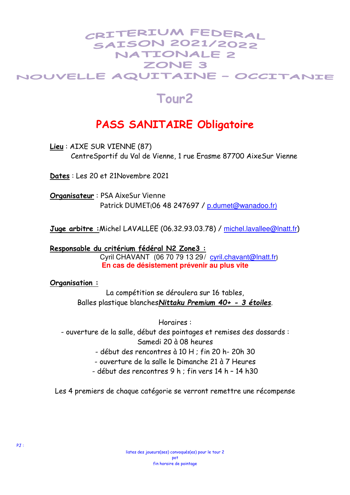### CRITERIUM FEDERAL **SAISON 2021/2022** NATIONALE 2 ZONE 3 NOUVELLE AQUITAINE - OCCITANIE

# **Tour2**

## **PASS SANITAIRE Obligatoire**

**Lieu** : AIXE SUR VIENNE (87) CentreSportif du Val de Vienne, 1 rue Erasme 87700 AixeSur Vienne

**Dates** : Les 20 et 21Novembre 2021

**Organisateur** : PSA AixeSur Vienne Patrick DUMET(06 48 247697 / p.dumet@wanadoo.fr)

**Juge arbitre :**Michel LAVALLEE (06.32.93.03.78) / michel.lavallee@lnatt.fr)

**Responsable du critérium fédéral N2 Zone3 :**

Cyril CHAVANT (06 70 79 13 29/ cyril.chavant@lnatt.fr) **En cas de désistement prévenir au plus vite** 

**Organisation :**

La compétition se déroulera sur 16 tables, Balles plastique blanches*Nittaku Premium 40+ - 3 étoiles*.

Horaires :

- ouverture de la salle, début des pointages et remises des dossards : Samedi 20 à 08 heures

- début des rencontres à 10 H ; fin 20 h- 20h 30

- ouverture de la salle le Dimanche 21 à 7 Heures

- début des rencontres 9 h ; fin vers 14 h – 14 h30

Les 4 premiers de chaque catégorie se verront remettre une récompense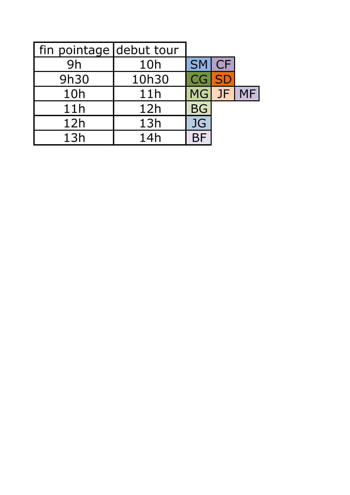| fin pointage debut tour |       |              |       |           |
|-------------------------|-------|--------------|-------|-----------|
| 9h                      | 10h   | SM CF        |       |           |
| 9h30                    | 10h30 | <b>CG SD</b> |       |           |
| 10h                     | 11h   |              | MG JF | <b>MF</b> |
| 11h                     | 12h   | <b>BG</b>    |       |           |
| 12h                     | 13h   | <b>JG</b>    |       |           |
| 13h                     | 14h   |              |       |           |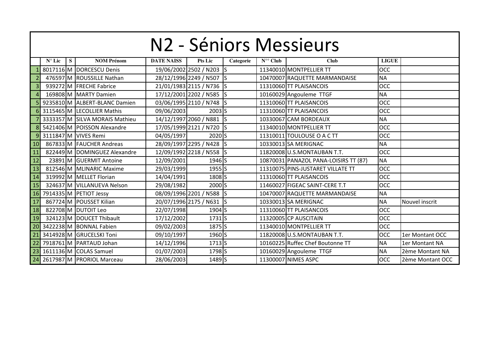|                 | N2 - Séniors Messieurs |   |                                |                   |                          |           |                                           |                                       |              |                  |  |  |  |
|-----------------|------------------------|---|--------------------------------|-------------------|--------------------------|-----------|-------------------------------------------|---------------------------------------|--------------|------------------|--|--|--|
|                 | $N^{\circ}$ Lic        | S | <b>NOM Prénom</b>              | <b>DATE NAISS</b> | Pts Lic                  | Categorie | $\overline{\mathbf{N}}^{\circ\circ}$ Club | Club                                  | <b>LIGUE</b> |                  |  |  |  |
|                 |                        |   | 8017116 M DORCESCU Denis       |                   | 19/06/2002 2502 / N203   | $\vert$ S |                                           | 11340010 MONTPELLIER TT               | OCC          |                  |  |  |  |
|                 |                        |   | 476597 M ROUSSILLE Nathan      |                   | 28/12/1996 2249 / N507 S |           |                                           | 10470007 RAQUETTE MARMANDAISE         | <b>NA</b>    |                  |  |  |  |
| 3               |                        |   | 939272 M FRECHE Fabrice        |                   | 21/01/1983 2115 / N736 S |           |                                           | 11310060 TT PLAISANCOIS               | <b>OCC</b>   |                  |  |  |  |
| $\overline{4}$  |                        |   | 169808 M MARTY Damien          |                   | 17/12/2001 2202 / N585   | IS        |                                           | 10160029 Angouleme TTGF               | <b>NA</b>    |                  |  |  |  |
|                 |                        |   | 9235810 M ALBERT-BLANC Damien  |                   | 03/06/1995 2110 / N748 S |           |                                           | 11310060 TT PLAISANCOIS               | OCC          |                  |  |  |  |
|                 |                        |   | 3115465 M LECOLLIER Mathis     | 09/06/2003        | $2003$ S                 |           |                                           | 11310060 TT PLAISANCOIS               | <b>OCC</b>   |                  |  |  |  |
|                 |                        |   | 3333357 M SILVA MORAIS Mathieu |                   | 14/12/1997 2060 / N881 S |           |                                           | 10330067 CAM BORDEAUX                 | <b>NA</b>    |                  |  |  |  |
|                 |                        |   | 5421406 M POISSON Alexandre    |                   | 17/05/1999 2121 / N720 S |           |                                           | 11340010 MONTPELLIER TT               | <b>OCC</b>   |                  |  |  |  |
| 9               |                        |   | 3111847 M VIVES Remi           | 04/05/1997        | 2020 <sub>S</sub>        |           |                                           | 11310011 TOULOUSE O A C TT            | OCC          |                  |  |  |  |
| 10 <sup>1</sup> |                        |   | 867833 M FAUCHER Andreas       |                   | 28/09/1997 2295 / N428   | ls        |                                           | 10330013 SA MERIGNAC                  | <b>NA</b>    |                  |  |  |  |
| 11              |                        |   | 822449 M DOMINGUEZ Alexandre   |                   | 12/09/1992 2218 / N558 S |           |                                           | 11820008 U.S.MONTAUBAN T.T.           | <b>OCC</b>   |                  |  |  |  |
| 12              |                        |   | 23891 M GUERMIT Antoine        | 12/09/2001        | 1946 S                   |           |                                           | 10870031 PANAZOL PANA-LOISIRS TT (87) | <b>NA</b>    |                  |  |  |  |
| 13              |                        |   | 812546 M MLINARIC Maxime       | 29/03/1999        | $1955$ S                 |           |                                           | 11310075 PINS-JUSTARET VILLATE TT     | OCC          |                  |  |  |  |
| 14              |                        |   | 319992 M MELLET Florian        | 14/04/1991        | 1808 <sub>S</sub>        |           |                                           | 11310060 TT PLAISANCOIS               | <b>OCC</b>   |                  |  |  |  |
| 15              |                        |   | 324637 M VILLANUEVA Nelson     | 29/08/1982        | 2000 <sub>S</sub>        |           |                                           | 11460027 FIGEAC SAINT-CERE T.T        | <b>OCC</b>   |                  |  |  |  |
| 16              |                        |   | 7914335 M PETIOT Jessy         |                   | 08/09/1996 2201 / N588 S |           |                                           | 10470007 RAQUETTE MARMANDAISE         | <b>NA</b>    |                  |  |  |  |
| 17              |                        |   | 867724 M POUSSET Kilian        |                   | 20/07/1996 2175 / N631   | ls        |                                           | 10330013 SA MERIGNAC                  | <b>NA</b>    | Nouvel inscrit   |  |  |  |
| 18              |                        |   | 822708 M DUTOIT Leo            | 22/07/1998        | 1904 S                   |           |                                           | 11310060 TT PLAISANCOIS               | <b>OCC</b>   |                  |  |  |  |
| 19              |                        |   | 324123 M DOUCET Thibault       | 17/12/2002        | $1731$ S                 |           |                                           | 11320005 CP AUSCITAIN                 | <b>OCC</b>   |                  |  |  |  |
| 20              |                        |   | 3422238 M BONNAL Fabien        | 09/02/2003        | 1875 S                   |           |                                           | 11340010 MONTPELLIER TT               | OCC          |                  |  |  |  |
| 21              |                        |   | 3414928 M GRUCELSKI Toni       | 09/10/1997        | 1960S                    |           |                                           | 11820008 U.S.MONTAUBAN T.T.           | OCC          | 1er Montant OCC  |  |  |  |
| 22              |                        |   | 7918761 M PARTAUD Johan        | 14/12/1996        | $1713$ S                 |           |                                           | 10160225 Ruffec Chef Boutonne TT      | <b>NA</b>    | 1er Montant NA   |  |  |  |
|                 |                        |   | 23 1611136 M COLAS Samuel      | 01/07/2003        | 1798 <sub>S</sub>        |           |                                           | 10160029 Angouleme TTGF               | <b>NA</b>    | 2ème Montant NA  |  |  |  |
|                 |                        |   | 24 2617987 M PRORIOL Marceau   | 28/06/2003        | 1489 S                   |           |                                           | 11300007 NIMES ASPC                   | <b>OCC</b>   | 2ème Montant OCC |  |  |  |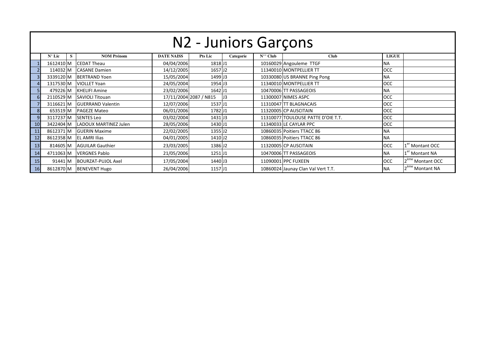|                | N2 - Juniors Garçons |   |                                 |                   |                        |           |                  |                                    |              |                              |  |  |  |  |
|----------------|----------------------|---|---------------------------------|-------------------|------------------------|-----------|------------------|------------------------------------|--------------|------------------------------|--|--|--|--|
|                | $N^{\circ}$ Lic      | S | <b>NOM Prénom</b>               | <b>DATE NAISS</b> | <b>Pts Lic</b>         | Categorie | $N^{\circ}$ Club | <b>Club</b>                        | <b>LIGUE</b> |                              |  |  |  |  |
|                | 1612410 M            |   | <b>CEDAT Theau</b>              | 04/04/2006        | 1818 J1                |           |                  | 10160029 Angouleme TTGF            | <b>NA</b>    |                              |  |  |  |  |
|                | 114032 M             |   | <b>CASANE Damien</b>            | 14/12/2005        | 1657 J <sub>2</sub>    |           |                  | 11340010 MONTPELLIER TT            | <b>OCC</b>   |                              |  |  |  |  |
|                | 3339120 M            |   | <b>BERTRAND Yoen</b>            | 15/05/2004        | 1499 J3                |           |                  | 10330080 US BRANNE Ping Pong       | <b>NA</b>    |                              |  |  |  |  |
|                | 1317530 M            |   | <b>VIOLLET Yoan</b>             | 24/05/2004        | 1954 J3                |           |                  | 11340010 MONTPELLIER TT            | <b>OCC</b>   |                              |  |  |  |  |
|                |                      |   | 479226 M KHELIFI Amine          | 23/02/2006        | 1642 J1                |           |                  | 10470006 TT PASSAGEOIS             | <b>NA</b>    |                              |  |  |  |  |
|                | 2110529 M            |   | <b>SAVIOLI Titouan</b>          |                   | 17/11/2004 2087 / N815 | J3        |                  | 11300007 NIMES ASPC                | <b>OCC</b>   |                              |  |  |  |  |
|                | 3116621 M            |   | <b>GUERRAND Valentin</b>        | 12/07/2006        | 1537 J1                |           |                  | 11310047 TT BLAGNACAIS             | <b>OCC</b>   |                              |  |  |  |  |
| 8 <sup>1</sup> | 653519 M             |   | <b>PAGEZE Mateo</b>             | 06/01/2006        | 1782J1                 |           |                  | 11320005 CP AUSCITAIN              | <b>OCC</b>   |                              |  |  |  |  |
| 9              |                      |   | 3117237 M SENTES Leo            | 03/02/2004        | 1431 J3                |           |                  | 11310077 TOULOUSE PATTE D'OIE T.T. | <b>OCC</b>   |                              |  |  |  |  |
| 10             |                      |   | 3422404 M LADOUX MARTINEZ Julen | 28/05/2006        | 1430 J1                |           |                  | 11340033 LE CAYLAR PPC             | <b>OCC</b>   |                              |  |  |  |  |
| 11             | 8612371 M            |   | <b>GUERIN Maxime</b>            | 22/02/2005        | 1355 J <sub>2</sub>    |           |                  | 10860035 Poitiers TTACC 86         | <b>NA</b>    |                              |  |  |  |  |
| 12             |                      |   | 8612358 M EL AMRI Ilias         | 04/01/2005        | 1410 J <sub>2</sub>    |           |                  | 10860035 Poitiers TTACC 86         | <b>NA</b>    |                              |  |  |  |  |
| 13             | 814605 M             |   | <b>AGUILAR Gauthier</b>         | 23/03/2005        | 1386 J <sub>2</sub>    |           |                  | 11320005 CP AUSCITAIN              | <b>OCC</b>   | $1er$ Montant OCC            |  |  |  |  |
| 14             | 4711063 M            |   | <b>VERGNES Pablo</b>            | 21/05/2006        | 1251J1                 |           |                  | 10470006 TT PASSAGEOIS             | <b>NA</b>    | 1 <sup>er</sup> Montant NA   |  |  |  |  |
| 15             |                      |   | 91441 M BOURZAT-PUJOL Axel      | 17/05/2004        | 1440 J3                |           |                  | 11090001 PPC FUXEEN                | <b>OCC</b>   | 2 <sup>ème</sup> Montant OCC |  |  |  |  |
| 16             |                      |   | 8612870 M BENEVENT Hugo         | 26/04/2006        | 1157 J1                |           |                  | 10860024 Jaunay Clan Val Vert T.T. | <b>NA</b>    | 2 <sup>ème</sup> Montant NA  |  |  |  |  |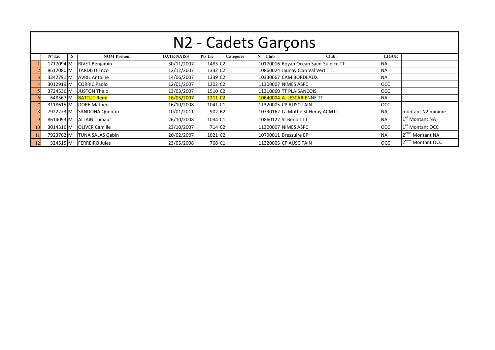| N2 - Cadets Garçons |   |                         |                   |                       |           |                  |                                       |              |                              |  |  |  |  |  |
|---------------------|---|-------------------------|-------------------|-----------------------|-----------|------------------|---------------------------------------|--------------|------------------------------|--|--|--|--|--|
| $N^{\circ}$ Lic     | S | <b>NOM Prénom</b>       | <b>DATE NAISS</b> | <b>Pts Lic</b>        | Categorie | $N^{\circ}$ Club | <b>Club</b>                           | <b>LIGUE</b> |                              |  |  |  |  |  |
| 1717094 M           |   | <b>RIVET Benjamin</b>   | 30/11/2007        | 1483 C <sub>2</sub>   |           |                  | 10170016 Royan Ocean Saint Sulpice TT | <b>NA</b>    |                              |  |  |  |  |  |
| 8612080 M           |   | <b>TARDIEU Enzo</b>     | 12/12/2007        | 1332 C <sub>2</sub>   |           |                  | 10860024 Jaunay Clan Val Vert T.T.    | <b>NA</b>    |                              |  |  |  |  |  |
| 3342791 M           |   | <b>AVRIL Antoine</b>    | 14/06/2007        | 1339 C <sub>2</sub>   |           |                  | 10330067 CAM BORDEAUX                 | <b>NA</b>    |                              |  |  |  |  |  |
| 3012919 M           |   | <b>CORRIC Paolo</b>     | 12/01/2007        | 1302 C <sub>2</sub>   |           |                  | 11300007 NIMES ASPC                   | <b>OCC</b>   |                              |  |  |  |  |  |
| 3724536 M           |   | <b>JUSTON Thelo</b>     | 13/03/2007        | 1510 C <sub>2</sub>   |           |                  | 11310060 TT PLAISANCOIS               | <b>OCC</b>   |                              |  |  |  |  |  |
| 648567 M            |   | <b>BATTUT Remi</b>      | 16/05/2007        | $1211$ C <sub>2</sub> |           |                  | 10640004 A. LESCARIENNE TT            | <b>NA</b>    |                              |  |  |  |  |  |
| 3118615 M           |   | <b>DORE Matheo</b>      | 16/10/2008        | 1041 C1               |           |                  | 11320005 CP AUSCITAIN                 | <b>OCC</b>   |                              |  |  |  |  |  |
| 7922273 M           |   | <b>SANDONA Quentin</b>  | 10/01/2011        | 902 B <sub>2</sub>    |           |                  | 10790162 La Mothe St Heray ACMTT      | <b>NA</b>    | montant N2 minime            |  |  |  |  |  |
| 8614093 M           |   | <b>ALLAIN Thibaut</b>   | 26/10/2008        | 1034 C1               |           |                  | 10860122 St Benoit TT                 | <b>NA</b>    | 1 <sup>er</sup> Montant NA   |  |  |  |  |  |
| 3014316 M           |   | <b>OLIVER Camille</b>   | 23/10/2007        | 714 C <sub>2</sub>    |           |                  | 11300007 NIMES ASPC                   | OCC          | 1 <sup>er</sup> Montant OCC  |  |  |  |  |  |
| 7923762 M           |   | <b>TUNA SALAS Gabin</b> | 20/02/2007        | 1021 C <sub>2</sub>   |           |                  | 10790011 Bressuire EP                 | <b>NA</b>    | 2 <sup>ème</sup> Montant NA  |  |  |  |  |  |
| 324515 M            |   | <b>FERREIRO Jules</b>   | 23/05/2008        | 768 C1                |           |                  | 11320005 CP AUSCITAIN                 | <b>OCC</b>   | 2 <sup>ème</sup> Montant OCC |  |  |  |  |  |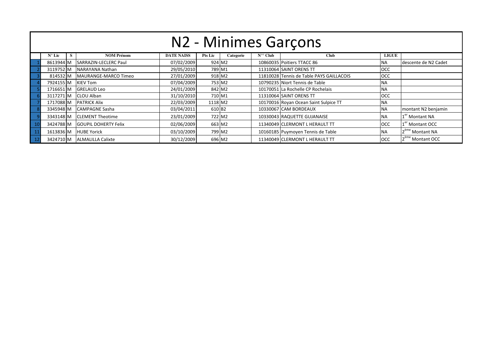| N2 - Minimes Garçons                                                                                                                                   |  |                                 |            |                    |  |  |                                          |            |                               |  |  |  |  |
|--------------------------------------------------------------------------------------------------------------------------------------------------------|--|---------------------------------|------------|--------------------|--|--|------------------------------------------|------------|-------------------------------|--|--|--|--|
| <b>NOM Prénom</b><br>$N^{\circ\circ}$ Club<br><b>LIGUE</b><br>$N^{\circ}$ Lic<br><b>DATE NAISS</b><br><b>Pts Lic</b><br>Categorie<br><b>Club</b><br>S. |  |                                 |            |                    |  |  |                                          |            |                               |  |  |  |  |
|                                                                                                                                                        |  | 8613944 M SARRAZIN-LECLERC Paul | 07/02/2009 | 924 M2             |  |  | 10860035 Poitiers TTACC 86               | <b>NA</b>  | descente de N2 Cadet          |  |  |  |  |
| 3119752 M                                                                                                                                              |  | NARAYANA Nathan                 | 29/05/2010 | 789 M1             |  |  | 11310064 SAINT ORENS TT                  | <b>OCC</b> |                               |  |  |  |  |
|                                                                                                                                                        |  | 814532 M MAURANGE-MARCO Timeo   | 27/01/2009 | 918 M2             |  |  | 11810028 Tennis de Table PAYS GAILLACOIS | <b>OCC</b> |                               |  |  |  |  |
|                                                                                                                                                        |  | 7924155 M KIEV Tom              | 07/04/2009 | 753 M2             |  |  | 10790235 Niort Tennis de Table           | <b>NA</b>  |                               |  |  |  |  |
|                                                                                                                                                        |  | 1716651 M GRELAUD Leo           | 24/01/2009 | 842 M2             |  |  | 10170051 La Rochelle CP Rochelais        | <b>NA</b>  |                               |  |  |  |  |
|                                                                                                                                                        |  | 3117271 M CLOU Alban            | 31/10/2010 | 710 M1             |  |  | 11310064 SAINT ORENS TT                  | <b>OCC</b> |                               |  |  |  |  |
|                                                                                                                                                        |  | 1717088 M PATRICK Alix          | 22/03/2009 | 1118 M2            |  |  | 10170016 Royan Ocean Saint Sulpice TT    | <b>NA</b>  |                               |  |  |  |  |
|                                                                                                                                                        |  | 3345948 M CAMPAGNE Sasha        | 03/04/2011 | 610 B <sub>2</sub> |  |  | 10330067 CAM BORDEAUX                    | <b>NA</b>  | montant N2 benjamin           |  |  |  |  |
|                                                                                                                                                        |  | 3343148 M CLEMENT Theotime      | 23/01/2009 | 722 M2             |  |  | 10330043 RAQUETTE GUJANAISE              | <b>NA</b>  | 1 <sup>er</sup> Montant NA    |  |  |  |  |
|                                                                                                                                                        |  | 3424788 M GOUPIL DOHERTY Felix  | 02/06/2009 | 663 M2             |  |  | 11340049 CLERMONT L HERAULT TT           | <b>OCC</b> | 1 <sup>er</sup> Montant OCC   |  |  |  |  |
|                                                                                                                                                        |  | 1613836 M HUBE Yorick           | 03/10/2009 | 799 M2             |  |  | 10160185 Puymoyen Tennis de Table        | <b>NA</b>  | 2 <sup>ème</sup> Montant NA   |  |  |  |  |
|                                                                                                                                                        |  | 3424710 M ALMALILLA Calixte     | 30/12/2009 | 696 M2             |  |  | 11340049 CLERMONT L HERAULT TT           | <b>OCC</b> | 12 <sup>ème</sup> Montant OCC |  |  |  |  |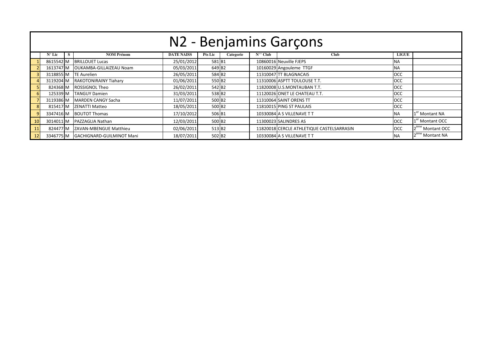|    | N2 - Benjamins Garçons                                                                                                                            |  |                                  |            |                    |  |  |                                           |            |                              |  |  |  |  |
|----|---------------------------------------------------------------------------------------------------------------------------------------------------|--|----------------------------------|------------|--------------------|--|--|-------------------------------------------|------------|------------------------------|--|--|--|--|
|    | <b>NOM Prénom</b><br>$N^{\circ}$ Club<br><b>Club</b><br><b>LIGUE</b><br><b>DATE NAISS</b><br><b>Pts Lic</b><br>$N^{\circ}$ Lic<br>Categorie<br>S. |  |                                  |            |                    |  |  |                                           |            |                              |  |  |  |  |
|    | 8615542 M                                                                                                                                         |  | <b>BRILLOUET Lucas</b>           | 25/01/2012 | 581 B1             |  |  | 10860016 Neuville FJEPS                   | <b>NA</b>  |                              |  |  |  |  |
|    | 1613747 M                                                                                                                                         |  | <b>OUKAMBA-GILLAIZEAU Noam</b>   | 05/03/2011 | 649 B <sub>2</sub> |  |  | 10160029 Angouleme TTGF                   | <b>NA</b>  |                              |  |  |  |  |
|    | 3118855 M                                                                                                                                         |  | <b>TE Aurelien</b>               | 26/05/2011 | 584 B2             |  |  | 11310047 TT BLAGNACAIS                    | <b>OCC</b> |                              |  |  |  |  |
|    | 3119204 M                                                                                                                                         |  | <b>RAKOTONIRAINY Tiahary</b>     | 01/06/2011 | 550 B <sub>2</sub> |  |  | 11310006 ASPTT TOULOUSE T.T.              | <b>OCC</b> |                              |  |  |  |  |
|    | 824368 M                                                                                                                                          |  | <b>ROSSIGNOL Theo</b>            | 26/02/2011 | 542 B <sub>2</sub> |  |  | 11820008 U.S.MONTAUBAN T.T.               | <b>OCC</b> |                              |  |  |  |  |
|    | 125339 M                                                                                                                                          |  | <b>TANGUY Damien</b>             | 31/03/2011 | 538 B2             |  |  | 11120026 ONET LE CHATEAU T.T.             | <b>OCC</b> |                              |  |  |  |  |
|    | 3119386 M                                                                                                                                         |  | MARDEN CANGY Sacha               | 11/07/2011 | 500 B <sub>2</sub> |  |  | 11310064 SAINT ORENS TT                   | <b>OCC</b> |                              |  |  |  |  |
|    | 815417 M                                                                                                                                          |  | ZENATTI Matteo                   | 18/05/2011 | 500 B <sub>2</sub> |  |  | 11810015 PING ST PAULAIS                  | OCC        |                              |  |  |  |  |
|    | 3347416 M                                                                                                                                         |  | <b>BOUTOT Thomas</b>             | 17/10/2012 | 506 B1             |  |  | 10330084 A S VILLENAVE T T                | <b>NA</b>  | 1 <sup>er</sup> Montant NA   |  |  |  |  |
| 10 | 3014011 M                                                                                                                                         |  | PAZZAGLIA Nathan                 | 12/03/2011 | 500 B <sub>2</sub> |  |  | 11300023 SALINDRES AS                     | <b>OCC</b> | 1 <sup>er</sup> Montant OCC  |  |  |  |  |
| 11 | 824477 M                                                                                                                                          |  | ZAVAN-MBENGUE Matthieu           | 02/06/2011 | 513 B2             |  |  | 11820018 CERCLE ATHLETIQUE CASTELSARRASIN | <b>OCC</b> | 2 <sup>ème</sup> Montant OCC |  |  |  |  |
| 12 | 3346775 M                                                                                                                                         |  | <b>GACHIGNARD-GUILMINOT Mani</b> | 18/07/2011 | 502 B <sub>2</sub> |  |  | 10330084 A S VILLENAVE T T                | INA.       | 2 <sup>eme</sup> Montant NA  |  |  |  |  |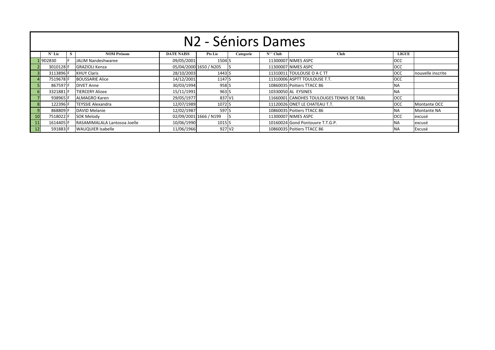|                                                                 | N <sub>2</sub> - Séniors Dames |   |                              |                   |                        |           |                  |                                           |              |                   |  |  |  |  |  |
|-----------------------------------------------------------------|--------------------------------|---|------------------------------|-------------------|------------------------|-----------|------------------|-------------------------------------------|--------------|-------------------|--|--|--|--|--|
|                                                                 | $N^{\circ}$ Lic                | S | <b>NOM Prénom</b>            | <b>DATE NAISS</b> | <b>Pts Lic</b>         | Categorie | $N^{\circ}$ Club | <b>Club</b>                               | <b>LIGUE</b> |                   |  |  |  |  |  |
|                                                                 | L9D2830                        |   | JALIM Nandeshwaree           | 09/05/2001        | 1504 S                 |           |                  | 11300007 NIMES ASPC                       | OCC          |                   |  |  |  |  |  |
|                                                                 | 3010128 F                      |   | <b>GRAZIOLI Kenza</b>        |                   | 05/04/2000 1650 / N205 |           |                  | 11300007 NIMES ASPC                       | OCC          |                   |  |  |  |  |  |
|                                                                 | 3113896 F                      |   | <b>KHUY Claris</b>           | 28/10/2003        | 1443 S                 |           |                  | 11310011 TOULOUSE O A C TT                | OCC          | nouvelle inscrite |  |  |  |  |  |
|                                                                 | 7519678F                       |   | <b>BOUSSARIE Alice</b>       | 14/12/2001        | 1147 S                 |           |                  | 11310006 ASPTT TOULOUSE T.T.              | <b>OCC</b>   |                   |  |  |  |  |  |
|                                                                 | 867597 F                       |   | <b>DIVET Anne</b>            | 30/03/1994        | 958 <sub>S</sub>       |           |                  | 10860035 Poitiers TTACC 86                | <b>NA</b>    |                   |  |  |  |  |  |
| 6                                                               | 3321881                        |   | <b>TIERCERY Alizee</b>       | 15/11/1991        | 963 S                  |           |                  | 10330050 AL EYSINES                       | <b>NA</b>    |                   |  |  |  |  |  |
|                                                                 | 938965 F                       |   | ALMAGRO Karen                | 29/05/1977        | 837 V1                 |           |                  | 11660001 CANOHES TOULOUGES TENNIS DE TABL | OCC          |                   |  |  |  |  |  |
|                                                                 | 122396 F                       |   | <b>TEYSSIE Alexandra</b>     | 12/07/1989        | 1072 S                 |           |                  | 11120026 ONET LE CHATEAU T.T.             | OCC          | Montante OCC      |  |  |  |  |  |
| 9                                                               | 868809 F                       |   | DAVID Melanie                | 12/02/1987        | 597 <sub>S</sub>       |           |                  | 10860035 Poitiers TTACC 86                | <b>NA</b>    | Montante NA       |  |  |  |  |  |
| 10                                                              | 7518022 F                      |   | <b>SOK Melody</b>            |                   | 02/09/2001 1666 / N199 |           |                  | 11300007 NIMES ASPC                       | <b>OCC</b>   | excusé            |  |  |  |  |  |
| $\begin{array}{c}\n\phantom{0}11 \\ \phantom{0}12\n\end{array}$ | 1614405 F                      |   | RASAMIMALALA Lantosoa Joelle | 10/06/1990        | 1015 S                 |           |                  | 10160024 Gond Pontouvre T.T.G.P.          | <b>NA</b>    | excusé            |  |  |  |  |  |
|                                                                 | 591883 F                       |   | <b>WAUQUIER Isabelle</b>     | 11/06/1966        | 927 V2                 |           |                  | 10860035 Poitiers TTACC 86                | <b>NA</b>    | Excusé            |  |  |  |  |  |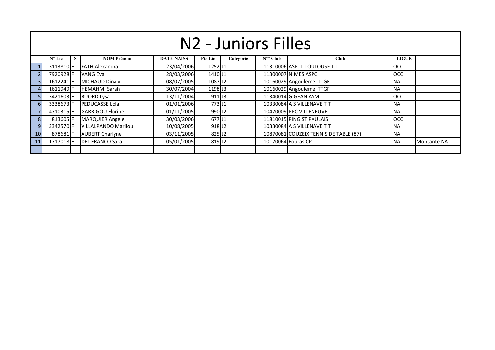|                 | N <sub>2</sub> - Juniors Filles                                                                                                                        |  |                            |            |                     |  |  |                                       |            |             |  |  |  |  |
|-----------------|--------------------------------------------------------------------------------------------------------------------------------------------------------|--|----------------------------|------------|---------------------|--|--|---------------------------------------|------------|-------------|--|--|--|--|
|                 | <b>NOM Prénom</b><br><b>DATE NAISS</b><br>$N^{\circ\circ}$ Club<br><b>LIGUE</b><br>$N^{\circ}$ Lic<br><b>Pts Lic</b><br><b>Club</b><br>Categorie<br>S. |  |                            |            |                     |  |  |                                       |            |             |  |  |  |  |
|                 | 3113810F                                                                                                                                               |  | <b>FATH Alexandra</b>      | 23/04/2006 | $1252$ J1           |  |  | 11310006 ASPTT TOULOUSE T.T.          | <b>OCC</b> |             |  |  |  |  |
|                 | 7920928F                                                                                                                                               |  | <b>VANG Eva</b>            | 28/03/2006 | 1410J1              |  |  | 11300007 NIMES ASPC                   | <b>OCC</b> |             |  |  |  |  |
|                 | 1612241F                                                                                                                                               |  | <b>MICHAUD Dinaly</b>      | 08/07/2005 | 1087J2              |  |  | 10160029 Angouleme TTGF               | <b>NA</b>  |             |  |  |  |  |
|                 | 1611949 F                                                                                                                                              |  | <b>HEMAHMI Sarah</b>       | 30/07/2004 | 1198 J <sub>3</sub> |  |  | 10160029 Angouleme TTGF               | <b>NA</b>  |             |  |  |  |  |
|                 | 3421603 F                                                                                                                                              |  | <b>BUORD Lysa</b>          | 13/11/2004 | $911$ J3            |  |  | 11340014 GIGEAN ASM                   | <b>OCC</b> |             |  |  |  |  |
| 6               | 3338673F                                                                                                                                               |  | <b>PEDUCASSE Lola</b>      | 01/01/2006 | 773 J1              |  |  | 10330084 A S VILLENAVE T T            | <b>NA</b>  |             |  |  |  |  |
|                 | 4710315 F                                                                                                                                              |  | <b>GARRIGOU Florine</b>    | 01/11/2005 | 990 J <sub>2</sub>  |  |  | 10470009 PPC VILLENEUVE               | <b>NA</b>  |             |  |  |  |  |
| 8 <sup>1</sup>  | 813605 F                                                                                                                                               |  | <b>MARQUIER Angele</b>     | 30/03/2006 | 677 J1              |  |  | 11810015 PING ST PAULAIS              | <b>OCC</b> |             |  |  |  |  |
| 9               | 3342570F                                                                                                                                               |  | <b>VILLALPANDO Marilou</b> | 10/08/2005 | 918 J <sub>2</sub>  |  |  | 10330084 A S VILLENAVE TT             | <b>NA</b>  |             |  |  |  |  |
| 10 <sub>1</sub> | 878681F                                                                                                                                                |  | <b>AUBERT Charlyne</b>     | 03/11/2005 | 825 J <sub>2</sub>  |  |  | 10870081 COUZEIX TENNIS DE TABLE (87) | <b>NA</b>  |             |  |  |  |  |
| 11              | 1717018F                                                                                                                                               |  | <b>IDEL FRANCO Sara</b>    | 05/01/2005 | 819 J2              |  |  | 10170064 Fouras CP                    | <b>NA</b>  | Montante NA |  |  |  |  |
|                 |                                                                                                                                                        |  |                            |            |                     |  |  |                                       |            |             |  |  |  |  |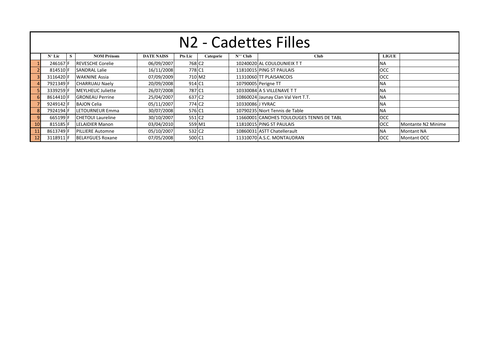|              | N <sub>2</sub> - Cadettes Filles                                                                                                                  |  |                          |            |                    |  |                  |                                           |            |                    |  |  |  |  |  |
|--------------|---------------------------------------------------------------------------------------------------------------------------------------------------|--|--------------------------|------------|--------------------|--|------------------|-------------------------------------------|------------|--------------------|--|--|--|--|--|
|              | $N^{\circ}$ Club<br>S.<br><b>NOM Prénom</b><br><b>DATE NAISS</b><br><b>Pts Lic</b><br>Categorie<br><b>Club</b><br><b>LIGUE</b><br>$N^{\circ}$ Lic |  |                          |            |                    |  |                  |                                           |            |                    |  |  |  |  |  |
|              | 2461671                                                                                                                                           |  | <b>REVESCHE Corelie</b>  | 06/09/2007 | 768 C <sub>2</sub> |  |                  | 10240020 AL COULOUNIEIX TT                | <b>NA</b>  |                    |  |  |  |  |  |
|              | 814510 F                                                                                                                                          |  | <b>SANDRAL Lalie</b>     | 16/11/2008 | 778 C1             |  |                  | 11810015 PING ST PAULAIS                  | <b>OCC</b> |                    |  |  |  |  |  |
|              | 3116420 F                                                                                                                                         |  | <b>WAKNINE Assia</b>     | 07/09/2009 | 710 M2             |  |                  | 11310060 TT PLAISANCOIS                   | <b>OCC</b> |                    |  |  |  |  |  |
|              | 7921349 F                                                                                                                                         |  | <b>CHARRUAU Naely</b>    | 20/09/2008 | 914 C1             |  |                  | 10790005 Perigne TT                       | <b>NA</b>  |                    |  |  |  |  |  |
|              | 3339259 F                                                                                                                                         |  | MEYLHEUC Juliette        | 26/07/2008 | 787 C1             |  |                  | 10330084 A S VILLENAVE T T                | <b>NA</b>  |                    |  |  |  |  |  |
|              | 8614410 F                                                                                                                                         |  | <b>GRONEAU Perrine</b>   | 25/04/2007 | 637 C <sub>2</sub> |  |                  | 10860024 Jaunay Clan Val Vert T.T.        | <b>NA</b>  |                    |  |  |  |  |  |
|              | 9249142 F                                                                                                                                         |  | <b>BAJON Celia</b>       | 05/11/2007 | 774 C <sub>2</sub> |  | 10330086 J YVRAC |                                           | <b>NA</b>  |                    |  |  |  |  |  |
|              | 7924194 F                                                                                                                                         |  | LETOURNEUR Emma          | 30/07/2008 | 576 C1             |  |                  | 10790235 Niort Tennis de Table            | <b>NA</b>  |                    |  |  |  |  |  |
|              | 665199 F                                                                                                                                          |  | <b>CHETOUI Laureline</b> | 30/10/2007 | 551 C <sub>2</sub> |  |                  | 11660001 CANOHES TOULOUGES TENNIS DE TABL | <b>OCC</b> |                    |  |  |  |  |  |
| 10           | 815185 F                                                                                                                                          |  | <b>LELAIDIER Manon</b>   | 03/04/2010 | 559 M1             |  |                  | 11810015 PING ST PAULAIS                  | <b>OCC</b> | Montante N2 Minime |  |  |  |  |  |
| $\boxed{11}$ | 8613749 F                                                                                                                                         |  | <b>PILLIERE Automne</b>  | 05/10/2007 | 532 C <sub>2</sub> |  |                  | 10860031 ASTT Chatellerault               | <b>NA</b>  | <b>Montant NA</b>  |  |  |  |  |  |
| $\vert$ 12   | 3118911 F                                                                                                                                         |  | <b>BELAYGUES Roxane</b>  | 07/05/2008 | 500 C1             |  |                  | 11310070 A.S.C. MONTAUDRAN                | <b>OCC</b> | Montant OCC        |  |  |  |  |  |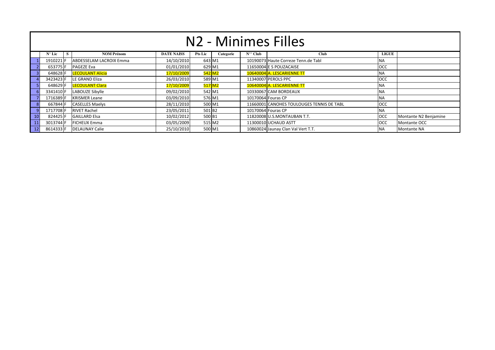|    | N <sub>2</sub> - Minimes Filles |                         |                   |                    |           |                       |                                           |              |                       |  |  |  |  |  |
|----|---------------------------------|-------------------------|-------------------|--------------------|-----------|-----------------------|-------------------------------------------|--------------|-----------------------|--|--|--|--|--|
|    | $N^{\circ}$ Lic<br>-S           | <b>NOM Prénom</b>       | <b>DATE NAISS</b> | <b>Pts Lic</b>     | Categorie | $N^{\circ\circ}$ Club | Club                                      | <b>LIGUE</b> |                       |  |  |  |  |  |
|    | 1910221                         | ABDESSELAM LACROIX Emma | 14/10/2010        | 643 M1             |           |                       | 10190073 Haute Correze Tenn.de Tabl       | <b>NA</b>    |                       |  |  |  |  |  |
|    | 653775 F                        | <b>PAGEZE Eva</b>       | 01/01/2010        | 629 M1             |           |                       | 11650004 E S POUZACAISE                   | <b>OCC</b>   |                       |  |  |  |  |  |
|    | 648628 F                        | <b>LECOULANT Alicia</b> | 17/10/2009        |                    | 542 M2    |                       | 10640004 A. LESCARIENNE TT                | <b>NA</b>    |                       |  |  |  |  |  |
|    | 3423423 F                       | LE GRAND Eliza          | 26/03/2010        | 589 M1             |           |                       | 11340007 PEROLS PPC                       | <b>OCC</b>   |                       |  |  |  |  |  |
|    | 648629 F                        | <b>LECOULANT Clara</b>  | 17/10/2009        | 517 M <sub>2</sub> |           |                       | 10640004 A. LESCARIENNE TT                | <b>NA</b>    |                       |  |  |  |  |  |
|    | 3341410F                        | LABOUZE Sibylle         | 09/02/2010        |                    | 542 M1    |                       | 10330067 CAM BORDEAUX                     | <b>NA</b>    |                       |  |  |  |  |  |
|    | 1716389 F                       | <b>KRISMER Leane</b>    | 03/09/2010        | 576 M1             |           |                       | 10170064 Fouras CP                        | <b>NA</b>    |                       |  |  |  |  |  |
|    | 667844 F                        | <b>CASELLES Maelys</b>  | 28/11/2010        | 500 M1             |           |                       | 11660001 CANOHES TOULOUGES TENNIS DE TABL | <b>OCC</b>   |                       |  |  |  |  |  |
|    | 1717708F                        | <b>RIVET Rachel</b>     | 23/05/2011        | 501 B2             |           |                       | 10170064 Fouras CP                        | <b>NA</b>    |                       |  |  |  |  |  |
| 10 | 824425 F                        | <b>GAILLARD Elsa</b>    | 10/02/2012        | 500 B1             |           |                       | 11820008 U.S.MONTAUBAN T.T.               | <b>OCC</b>   | Montante N2 Benjamine |  |  |  |  |  |
|    | 3013744 F                       | <b>FICHEUX Emma</b>     | 03/05/2009        | 515 M2             |           |                       | 11300010 UCHAUD ASTT                      | <b>OCC</b>   | Montante OCC          |  |  |  |  |  |
|    | 8614333 F                       | DELAUNAY Calie          | 25/10/2010        | 500 M1             |           |                       | 10860024 Jaunay Clan Val Vert T.T.        | <b>NA</b>    | Montante NA           |  |  |  |  |  |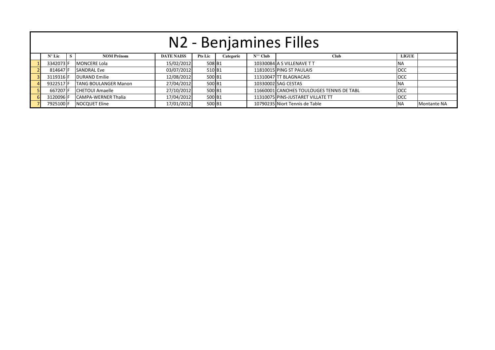|  | $N^{\circ}$ Lic | S | <b>NOM Prénom</b>           | <b>DATE NAISS</b> | <b>Pts Lic</b> | Categorie | $N^{\circ\circ}$ Club | <b>Club</b>                               | LIGUE      |             |  |  |  |
|--|-----------------|---|-----------------------------|-------------------|----------------|-----------|-----------------------|-------------------------------------------|------------|-------------|--|--|--|
|  | 3342073 F       |   | <b>MONCERE Lola</b>         | 15/02/2012        | 508 B1         |           |                       | 10330084 A S VILLENAVE T T                | <b>NA</b>  |             |  |  |  |
|  | 814647 F        |   | <b>SANDRAL Eve</b>          | 03/07/2012        | 510 B1         |           |                       | 11810015 PING ST PAULAIS                  | <b>OCC</b> |             |  |  |  |
|  | 3119316 F       |   | <b>DURAND Emilie</b>        | 12/08/2012        | 500 B1         |           |                       | 11310047 TT BLAGNACAIS                    | <b>OCC</b> |             |  |  |  |
|  | 9322517 F       |   | <b>TANG BOULANGER Manon</b> | 27/04/2012        | 500 B1         |           |                       | 10330002 SAG CESTAS                       | <b>NA</b>  |             |  |  |  |
|  | 667207 F        |   | <b>CHETOUI Amaelle</b>      | 27/10/2012        | 500 B1         |           |                       | 11660001 CANOHES TOULOUGES TENNIS DE TABL | <b>OCC</b> |             |  |  |  |
|  | 3120096 F       |   | <b>CAMPA-WERNER Thalia</b>  | 17/04/2012        | 500 B1         |           |                       | 11310075 PINS-JUSTARET VILLATE TT         | <b>OCC</b> |             |  |  |  |
|  | 7925100 F       |   | <b>NOCQUET Eline</b>        | 17/01/2012        | 500 B1         |           |                       | 10790235 Niort Tennis de Table            | NA         | Montante NA |  |  |  |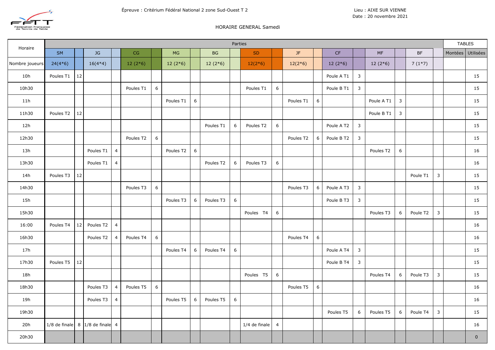

#### HORAIRE GENERAL Samedi

| Horaire        |               |        |                   |                         |           |             |           |             |                      | Parties          |               |                  |           |             |                        |                |            |              |          |                | <b>TABLES</b> |             |
|----------------|---------------|--------|-------------------|-------------------------|-----------|-------------|-----------|-------------|----------------------|------------------|---------------|------------------|-----------|-------------|------------------------|----------------|------------|--------------|----------|----------------|---------------|-------------|
|                | <b>SM</b>     |        | JG                |                         | CG        |             | MG        |             | BG                   |                  | SD            |                  | JF        |             | $\mathsf{C}\mathsf{F}$ |                | MF         |              | BF       |                | Montées       | Utilisées   |
| Nombre joueurs | $24(4*6)$     |        | $16(4*4)$         |                         | $12(2*6)$ |             | $12(2*6)$ |             | $12(2*6)$            |                  | $12(2*6)$     |                  | $12(2*6)$ |             | $12(2*6)$              |                | $12(2*6)$  |              | $7(1*7)$ |                |               |             |
| 10h            | Poules T1     | $12\,$ |                   |                         |           |             |           |             |                      |                  |               |                  |           |             | Poule A T1             | $\mathbf{3}$   |            |              |          |                |               | 15          |
| 10h30          |               |        |                   |                         | Poules T1 | $\,$ 6 $\,$ |           |             |                      |                  | Poules T1     | $\boldsymbol{6}$ |           |             | Poule B T1             | $\mathbf{3}$   |            |              |          |                |               | 15          |
| 11h            |               |        |                   |                         |           |             | Poules T1 | $\,$ 6 $\,$ |                      |                  |               |                  | Poules T1 | $\,$ 6 $\,$ |                        |                | Poule A T1 | $\mathbf{3}$ |          |                |               | 15          |
| 11h30          | Poules T2     | $12\,$ |                   |                         |           |             |           |             |                      |                  |               |                  |           |             |                        |                | Poule B T1 | $\mathbf{3}$ |          |                |               | 15          |
| 12h            |               |        |                   |                         |           |             |           |             | Poules <sub>T1</sub> | $\boldsymbol{6}$ | Poules T2     | $\boldsymbol{6}$ |           |             | Poule A T2             | $\mathbf{3}$   |            |              |          |                |               | 15          |
| 12h30          |               |        |                   |                         | Poules T2 | $\,$ 6 $\,$ |           |             |                      |                  |               |                  | Poules T2 | 6           | Poule B T2             | $\overline{3}$ |            |              |          |                |               | 15          |
| 13h            |               |        | Poules T1         | $\overline{\mathbf{4}}$ |           |             | Poules T2 | $\,$ 6 $\,$ |                      |                  |               |                  |           |             |                        |                | Poules T2  | $\,$ 6 $\,$  |          |                |               | 16          |
| 13h30          |               |        | Poules T1         | $\overline{4}$          |           |             |           |             | Poules T2            | $\boldsymbol{6}$ | Poules T3     | $\boldsymbol{6}$ |           |             |                        |                |            |              |          |                |               | 16          |
| 14h            | Poules T3     | 12     |                   |                         |           |             |           |             |                      |                  |               |                  |           |             |                        |                |            |              | Poule T1 | $\mathbf{3}$   |               | 15          |
| 14h30          |               |        |                   |                         | Poules T3 | $\,$ 6 $\,$ |           |             |                      |                  |               |                  | Poules T3 | $6\,$       | Poule A T3             | $\mathbf{3}$   |            |              |          |                |               | 15          |
| 15h            |               |        |                   |                         |           |             | Poules T3 | 6           | Poules T3            | $\boldsymbol{6}$ |               |                  |           |             | Poule B T3             | $\mathbf{3}$   |            |              |          |                |               | 15          |
| 15h30          |               |        |                   |                         |           |             |           |             |                      |                  | Poules T4     | $\,$ 6 $\,$      |           |             |                        |                | Poules T3  | 6            | Poule T2 | $\overline{3}$ |               | 15          |
| 16:00          | Poules T4     | 12     | Poules T2         | $\overline{a}$          |           |             |           |             |                      |                  |               |                  |           |             |                        |                |            |              |          |                |               | 16          |
| 16h30          |               |        | Poules T2         | $\overline{4}$          | Poules T4 | $\,$ 6 $\,$ |           |             |                      |                  |               |                  | Poules T4 | $\,6\,$     |                        |                |            |              |          |                |               | 16          |
| 17h            |               |        |                   |                         |           |             | Poules T4 | 6           | Poules T4            | $\boldsymbol{6}$ |               |                  |           |             | Poule A T4             | $\mathbf{3}$   |            |              |          |                |               | 15          |
| 17h30          | Poules T5     | 12     |                   |                         |           |             |           |             |                      |                  |               |                  |           |             | Poule B T4             | $\mathbf{3}$   |            |              |          |                |               | 15          |
| 18h            |               |        |                   |                         |           |             |           |             |                      |                  | Poules T5     | $\boldsymbol{6}$ |           |             |                        |                | Poules T4  | 6            | Poule T3 | $\mathbf{3}$   |               | 15          |
| 18h30          |               |        | Poules T3         | $\overline{a}$          | Poules T5 | $\,$ 6 $\,$ |           |             |                      |                  |               |                  | Poules T5 | $\,$ 6 $\,$ |                        |                |            |              |          |                |               | 16          |
| 19h            |               |        | Poules T3         | $\overline{4}$          |           |             | Poules T5 | 6           | Poules T5            | $\boldsymbol{6}$ |               |                  |           |             |                        |                |            |              |          |                |               | 16          |
| 19h30          |               |        |                   |                         |           |             |           |             |                      |                  |               |                  |           |             | Poules T5              | 6              | Poules T5  | 6            | Poule T4 | $\mathbf{3}$   |               | 15          |
| 20h            | 1/8 de finale | 8      | $1/8$ de finale 4 |                         |           |             |           |             |                      |                  | 1/4 de finale | $\overline{4}$   |           |             |                        |                |            |              |          |                |               | 16          |
| 20h30          |               |        |                   |                         |           |             |           |             |                      |                  |               |                  |           |             |                        |                |            |              |          |                |               | $\mathbf 0$ |